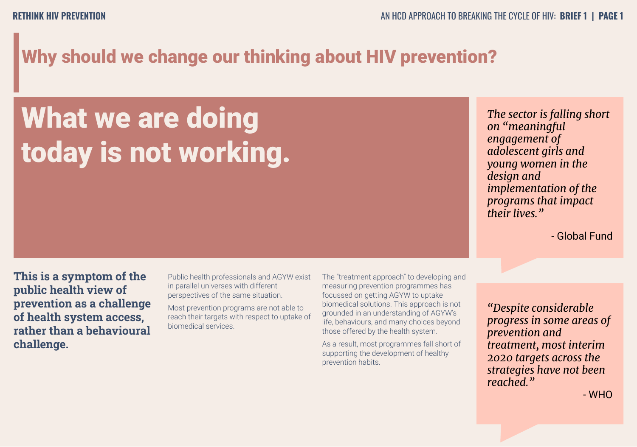# Why should we change our thinking about HIV prevention?

# What we are doing today is not working.

*The sector is falling short on "meaningful engagement of adolescent girls and young women in the design and implementation of the programs that impact their lives."* 

- Global Fund

**This is a symptom of the public health view of prevention as a challenge of health system access, rather than a behavioural challenge.**

Public health professionals and AGYW exist in parallel universes with different perspectives of the same situation.

Most prevention programs are not able to reach their targets with respect to uptake of biomedical services.

The "treatment approach" to developing and measuring prevention programmes has focussed on getting AGYW to uptake biomedical solutions. This approach is not grounded in an understanding of AGYW's life, behaviours, and many choices beyond those offered by the health system.

As a result, most programmes fall short of supporting the development of healthy prevention habits.

*"Despite considerable progress in some areas of prevention and treatment, most interim 2020 targets across the strategies have not been reached."*

- WHO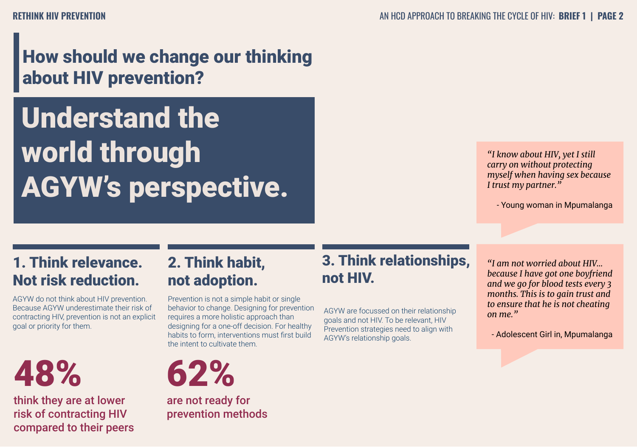# How should we change our thinking about HIV prevention?

Understand the world through AGYW's perspective.

*"I know about HIV, yet I still carry on without protecting myself when having sex because I trust my partner."*

- Young woman in Mpumalanga

### 1. Think relevance. Not risk reduction.

AGYW do not think about HIV prevention. Because AGYW underestimate their risk of contracting HIV, prevention is not an explicit goal or priority for them.



think they are at lower risk of contracting HIV compared to their peers

### 2. Think habit, not adoption.

Prevention is not a simple habit or single behavior to change. Designing for prevention requires a more holistic approach than designing for a one-off decision. For healthy habits to form, interventions must first build the intent to cultivate them.



are not ready for prevention methods

### 3. Think relationships, not HIV.

AGYW are focussed on their relationship goals and not HIV. To be relevant, HIV Prevention strategies need to align with AGYW's relationship goals.

*"I am not worried about HIV... because I have got one boyfriend and we go for blood tests every 3 months. This is to gain trust and to ensure that he is not cheating on me."* 

- Adolescent Girl in, Mpumalanga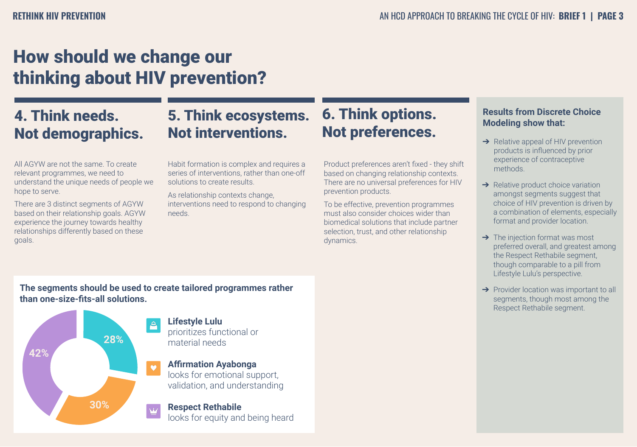# How should we change our thinking about HIV prevention?

### 4. Think needs. Not demographics.

### 5. Think ecosystems. Not interventions.

All AGYW are not the same. To create relevant programmes, we need to understand the unique needs of people we hope to serve.

There are 3 distinct segments of AGYW based on their relationship goals. AGYW experience the journey towards healthy relationships differently based on these goals.

Habit formation is complex and requires a series of interventions, rather than one-off solutions to create results.

As relationship contexts change, interventions need to respond to changing needs.

### 6. Think options. Not preferences.

Product preferences aren't fixed - they shift based on changing relationship contexts. There are no universal preferences for HIV prevention products.

To be effective, prevention programmes must also consider choices wider than biomedical solutions that include partner selection, trust, and other relationship dynamics.

### **Results from Discrete Choice Modeling show that:**

- $\rightarrow$  Relative appeal of HIV prevention products is influenced by prior experience of contraceptive methods.
- **→** Relative product choice variation amongst segments suggest that choice of HIV prevention is driven by a combination of elements, especially format and provider location.
- **→** The injection format was most preferred overall, and greatest among the Respect Rethabile segment, though comparable to a pill from Lifestyle Lulu's perspective.
- **→** Provider location was important to all segments, though most among the Respect Rethabile segment.

**The segments should be used to create tailored programmes rather than one-size-fits-all solutions.**



#### **Lifestyle Lulu**  prioritizes functional or material needs

**Affirmation Ayabonga** looks for emotional support, validation, and understanding

#### **Respect Rethabile**  looks for equity and being heard